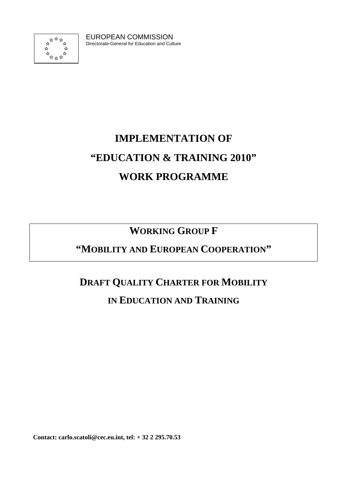

EUROPEAN COMMISSION Directorate-General for Education and Culture

# **IMPLEMENTATION OF "EDUCATION & TRAINING 2010" WORK PROGRAMME**

### **WORKING GROUP F**

### **"MOBILITY AND EUROPEAN COOPERATION"**

## **DRAFT QUALITY CHARTER FOR MOBILITY**

### **IN EDUCATION AND TRAINING**

**Contact: carlo.scatoli@cec.eu.int, tel: + 32 2 295.70.53**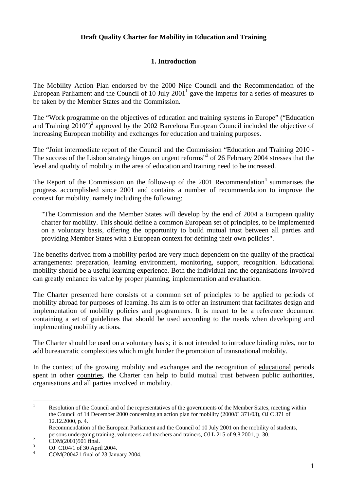#### **Draft Quality Charter for Mobility in Education and Training**

#### **1. Introduction**

The Mobility Action Plan endorsed by the 2000 Nice Council and the Recommendation of the European Parliament and the Council of 10 July  $2001<sup>1</sup>$  gave the impetus for a series of measures to be taken by the Member States and the Commission.

The "Work programme on the objectives of education and training systems in Europe" ("Education and Training  $2010"$ <sup>2</sup> approved by the 2002 Barcelona European Council included the objective of increasing European mobility and exchanges for education and training purposes.

The "Joint intermediate report of the Council and the Commission "Education and Training 2010 - The success of the Lisbon strategy hinges on urgent reforms"<sup>3</sup> of 26 February 2004 stresses that the level and quality of mobility in the area of education and training need to be increased.

The Report of the Commission on the follow-up of the  $2001$  Recommendation<sup>4</sup> summarises the progress accomplished since 2001 and contains a number of recommendation to improve the context for mobility, namely including the following:

"The Commission and the Member States will develop by the end of 2004 a European quality charter for mobility. This should define a common European set of principles, to be implemented on a voluntary basis, offering the opportunity to build mutual trust between all parties and providing Member States with a European context for defining their own policies".

The benefits derived from a mobility period are very much dependent on the quality of the practical arrangements: preparation, learning environment, monitoring, support, recognition. Educational mobility should be a useful learning experience. Both the individual and the organisations involved can greatly enhance its value by proper planning, implementation and evaluation.

The Charter presented here consists of a common set of principles to be applied to periods of mobility abroad for purposes of learning. Its aim is to offer an instrument that facilitates design and implementation of mobility policies and programmes. It is meant to be a reference document containing a set of guidelines that should be used according to the needs when developing and implementing mobility actions.

The Charter should be used on a voluntary basis; it is not intended to introduce binding rules, nor to add bureaucratic complexities which might hinder the promotion of transnational mobility.

In the context of the growing mobility and exchanges and the recognition of educational periods spent in other countries, the Charter can help to build mutual trust between public authorities, organisations and all parties involved in mobility.

 $\frac{1}{1}$  Resolution of the Council and of the representatives of the governments of the Member States, meeting within the Council of 14 December 2000 concerning an action plan for mobility (2000/C 371/03), OJ C 371 of 12.12.2000, p. 4.

Recommendation of the European Parliament and the Council of 10 July 2001 on the mobility of students, persons undergoing training, volunteers and teachers and trainers, OJ L 215 of 9.8.2001, p. 30.

COM(2001)501 final. 3

OJ C104/1 of 30 April 2004.

<sup>4</sup> COM(200421 final of 23 January 2004.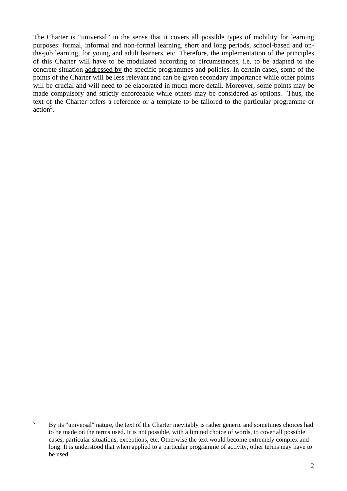The Charter is "universal" in the sense that it covers all possible types of mobility for learning purposes: formal, informal and non-formal learning, short and long periods, school-based and onthe-job learning, for young and adult learners, etc. Therefore, the implementation of the principles of this Charter will have to be modulated according to circumstances, i.e. to be adapted to the concrete situation addressed by the specific programmes and policies. In certain cases, some of the points of the Charter will be less relevant and can be given secondary importance while other points will be crucial and will need to be elaborated in much more detail. Moreover, some points may be made compulsory and strictly enforceable while others may be considered as options. Thus, the text of the Charter offers a reference or a template to be tailored to the particular programme or action<sup>5</sup>.

 $\overline{5}$ <sup>5</sup> By its "universal" nature, the text of the Charter inevitably is rather generic and sometimes choices had to be made on the terms used. It is not possible, with a limited choice of words, to cover all possible cases, particular situations, exceptions, etc. Otherwise the text would become extremely complex and long. It is understood that when applied to a particular programme of activity, other terms may have to be used.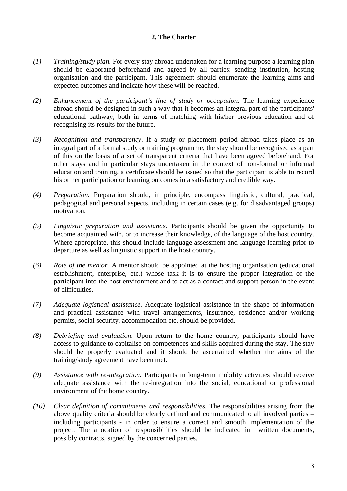#### **2. The Charter**

- *(1) Training/study plan.* For every stay abroad undertaken for a learning purpose a learning plan should be elaborated beforehand and agreed by all parties: sending institution, hosting organisation and the participant. This agreement should enumerate the learning aims and expected outcomes and indicate how these will be reached.
- *(2) Enhancement of the participant's line of study or occupation.* The learning experience abroad should be designed in such a way that it becomes an integral part of the participants' educational pathway, both in terms of matching with his/her previous education and of recognising its results for the future.
- *(3) Recognition and transparency*. If a study or placement period abroad takes place as an integral part of a formal study or training programme, the stay should be recognised as a part of this on the basis of a set of transparent criteria that have been agreed beforehand. For other stays and in particular stays undertaken in the context of non-formal or informal education and training, a certificate should be issued so that the participant is able to record his or her participation or learning outcomes in a satisfactory and credible way.
- *(4) Preparation.* Preparation should, in principle, encompass linguistic, cultural, practical, pedagogical and personal aspects, including in certain cases (e.g. for disadvantaged groups) motivation.
- *(5) Linguistic preparation and assistance.* Participants should be given the opportunity to become acquainted with, or to increase their knowledge, of the language of the host country. Where appropriate, this should include language assessment and language learning prior to departure as well as linguistic support in the host country.
- *(6) Role of the mentor.* A mentor should be appointed at the hosting organisation (educational establishment, enterprise, etc.) whose task it is to ensure the proper integration of the participant into the host environment and to act as a contact and support person in the event of difficulties.
- *(7) Adequate logistical assistance.* Adequate logistical assistance in the shape of information and practical assistance with travel arrangements, insurance, residence and/or working permits, social security, accommodation etc. should be provided.
- *(8) Debriefing and evaluation.* Upon return to the home country, participants should have access to guidance to capitalise on competences and skills acquired during the stay. The stay should be properly evaluated and it should be ascertained whether the aims of the training/study agreement have been met.
- *(9) Assistance with re-integration.* Participants in long-term mobility activities should receive adequate assistance with the re-integration into the social, educational or professional environment of the home country.
- *(10) Clear definition of commitments and responsibilities.* The responsibilities arising from the above quality criteria should be clearly defined and communicated to all involved parties – including participants - in order to ensure a correct and smooth implementation of the project. The allocation of responsibilities should be indicated in written documents, possibly contracts, signed by the concerned parties.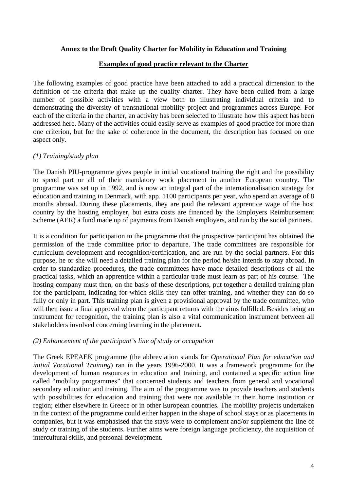#### **Annex to the Draft Quality Charter for Mobility in Education and Training**

#### **Examples of good practice relevant to the Charter**

The following examples of good practice have been attached to add a practical dimension to the definition of the criteria that make up the quality charter. They have been culled from a large number of possible activities with a view both to illustrating individual criteria and to demonstrating the diversity of transnational mobility project and programmes across Europe. For each of the criteria in the charter, an activity has been selected to illustrate how this aspect has been addressed here. Many of the activities could easily serve as examples of good practice for more than one criterion, but for the sake of coherence in the document, the description has focused on one aspect only.

#### *(1) Training/study plan*

The Danish PIU-programme gives people in initial vocational training the right and the possibility to spend part or all of their mandatory work placement in another European country. The programme was set up in 1992, and is now an integral part of the internationalisation strategy for education and training in Denmark, with app. 1100 participants per year, who spend an average of 8 months abroad. During these placements, they are paid the relevant apprentice wage of the host country by the hosting employer, but extra costs are financed by the Employers Reimbursement Scheme (AER) a fund made up of payments from Danish employers, and run by the social partners.

It is a condition for participation in the programme that the prospective participant has obtained the permission of the trade committee prior to departure. The trade committees are responsible for curriculum development and recognition/certification, and are run by the social partners. For this purpose, he or she will need a detailed training plan for the period he/she intends to stay abroad. In order to standardize procedures, the trade committees have made detailed descriptions of all the practical tasks, which an apprentice within a particular trade must learn as part of his course. The hosting company must then, on the basis of these descriptions, put together a detailed training plan for the participant, indicating for which skills they can offer training, and whether they can do so fully or only in part. This training plan is given a provisional approval by the trade committee, who will then issue a final approval when the participant returns with the aims fulfilled. Besides being an instrument for recognition, the training plan is also a vital communication instrument between all stakeholders involved concerning learning in the placement.

#### *(2) Enhancement of the participant's line of study or occupation*

The Greek EPEAEK programme (the abbreviation stands for *Operational Plan for education and initial Vocational Training*) ran in the years 1996-2000. It was a framework programme for the development of human resources in education and training, and contained a specific action line called "mobility programmes" that concerned students and teachers from general and vocational secondary education and training. The aim of the programme was to provide teachers and students with possibilities for education and training that were not available in their home institution or region; either elsewhere in Greece or in other European countries. The mobility projects undertaken in the context of the programme could either happen in the shape of school stays or as placements in companies, but it was emphasised that the stays were to complement and/or supplement the line of study or training of the students. Further aims were foreign language proficiency, the acquisition of intercultural skills, and personal development.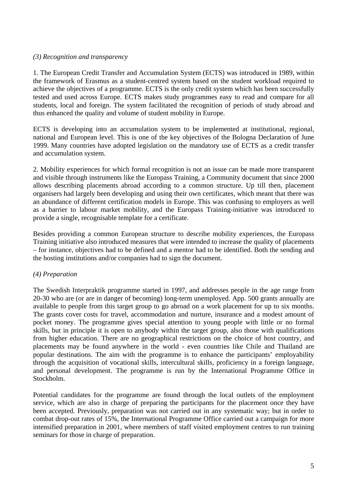#### *(3) Recognition and transparency*

1. The European Credit Transfer and Accumulation System (ECTS) was introduced in 1989, within the framework of Erasmus as a student-centred system based on the student workload required to achieve the objectives of a programme. ECTS is the only credit system which has been successfully tested and used across Europe. ECTS makes study programmes easy to read and compare for all students, local and foreign. The system facilitated the recognition of periods of study abroad and thus enhanced the quality and volume of student mobility in Europe.

ECTS is developing into an accumulation system to be implemented at institutional, regional, national and European level. This is one of the key objectives of the Bologna Declaration of June 1999. Many countries have adopted legislation on the mandatory use of ECTS as a credit transfer and accumulation system.

2. Mobility experiences for which formal recognition is not an issue can be made more transparent and visible through instruments like the Europass Training, a Community document that since 2000 allows describing placements abroad according to a common structure. Up till then, placement organisers had largely been developing and using their own certificates, which meant that there was an abundance of different certification models in Europe. This was confusing to employers as well as a barrier to labour market mobility, and the Europass Training-initiative was introduced to provide a single, recognisable template for a certificate.

Besides providing a common European structure to describe mobility experiences, the Europass Training initiative also introduced measures that were intended to increase the quality of placements – for instance, objectives had to be defined and a mentor had to be identified. Both the sending and the hosting institutions and/or companies had to sign the document.

#### *(4) Preparation*

The Swedish Interpraktik programme started in 1997, and addresses people in the age range from 20-30 who are (or are in danger of becoming) long-term unemployed. App. 500 grants annually are available to people from this target group to go abroad on a work placement for up to six months. The grants cover costs for travel, accommodation and nurture, insurance and a modest amount of pocket money. The programme gives special attention to young people with little or no formal skills, but in principle it is open to anybody within the target group, also those with qualifications from higher education. There are no geographical restrictions on the choice of host country, and placements may be found anywhere in the world - even countries like Chile and Thailand are popular destinations. The aim with the programme is to enhance the participants' employability through the acquisition of vocational skills, intercultural skills, proficiency in a foreign language, and personal development. The programme is run by the International Programme Office in Stockholm.

Potential candidates for the programme are found through the local outlets of the employment service, which are also in charge of preparing the participants for the placement once they have been accepted. Previously, preparation was not carried out in any systematic way; but in order to combat drop-out rates of 15%, the International Programme Office carried out a campaign for more intensified preparation in 2001, where members of staff visited employment centres to run training seminars for those in charge of preparation.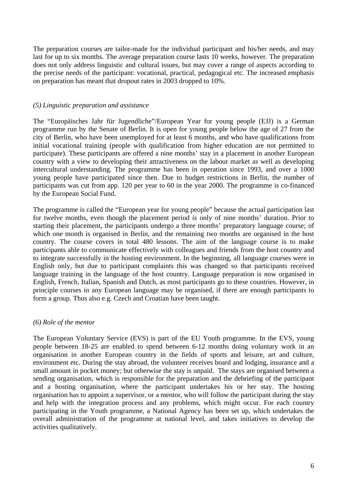The preparation courses are tailor-made for the individual participant and his/her needs, and may last for up to six months. The average preparation course lasts 10 weeks, however. The preparation does not only address linguistic and cultural issues, but may cover a range of aspects according to the precise needs of the participant: vocational, practical, pedagogical etc. The increased emphasis on preparation has meant that dropout rates in 2003 dropped to 10%.

#### *(5) Linguistic preparation and assistance*

The "Europäisches Jahr für Jugendliche"/European Year for young people (EJJ) is a German programme run by the Senate of Berlin. It is open for young people below the age of 27 from the city of Berlin, who have been unemployed for at least 6 months, and who have qualifications from initial vocational training (people with qualification from higher education are not permitted to participate). These participants are offered a nine months' stay in a placement in another European country with a view to developing their attractiveness on the labour market as well as developing intercultural understanding. The programme has been in operation since 1993, and over a 1000 young people have participated since then. Due to budget restrictions in Berlin, the number of participants was cut from app. 120 per year to 60 in the year 2000. The programme is co-financed by the European Social Fund.

The programme is called the "European year for young people" because the actual participation last for twelve months, even though the placement period is only of nine months' duration. Prior to starting their placement, the participants undergo a three months' preparatory language course; of which one month is organised in Berlin, and the remaining two months are organised in the host country. The course covers in total 480 lessons. The aim of the language course is to make participants able to communicate effectively with colleagues and friends from the host country and to integrate successfully in the hosting environment. In the beginning, all language courses were in English only, but due to participant complaints this was changed so that participants received language training in the language of the host country. Language preparation is now organised in English, French, Italian, Spanish and Dutch, as most participants go to these countries. However, in principle courses in any European language may be organised, if there are enough participants to form a group. Thus also e.g. Czech and Croatian have been taught.

#### *(6) Role of the mentor*

The European Voluntary Service (EVS) is part of the EU Youth programme. In the EVS, young people between 18-25 are enabled to spend between 6-12 months doing voluntary work in an organisation in another European country in the fields of sports and leisure, art and culture, environment etc. During the stay abroad, the volunteer receives board and lodging, insurance and a small amount in pocket money; but otherwise the stay is unpaid. The stays are organised between a sending organisation, which is responsible for the preparation and the debriefing of the participant and a hosting organisation, where the participant undertakes his or her stay. The hosting organisation has to appoint a supervisor, or a mentor, who will follow the participant during the stay and help with the integration process and any problems, which might occur. For each country participating in the Youth programme, a National Agency has been set up, which undertakes the overall administration of the programme at national level, and takes initiatives to develop the activities qualitatively.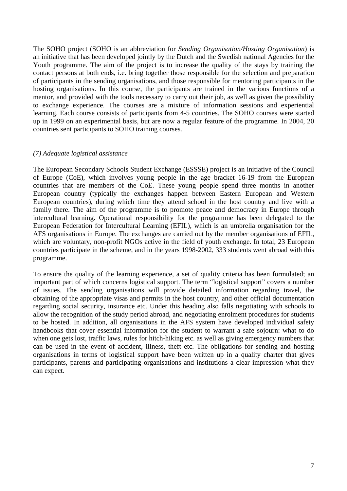The SOHO project (SOHO is an abbreviation for *Sending Organisation/Hosting Organisation*) is an initiative that has been developed jointly by the Dutch and the Swedish national Agencies for the Youth programme. The aim of the project is to increase the quality of the stays by training the contact persons at both ends, i.e. bring together those responsible for the selection and preparation of participants in the sending organisations, and those responsible for mentoring participants in the hosting organisations. In this course, the participants are trained in the various functions of a mentor, and provided with the tools necessary to carry out their job, as well as given the possibility to exchange experience. The courses are a mixture of information sessions and experiential learning. Each course consists of participants from 4-5 countries. The SOHO courses were started up in 1999 on an experimental basis, but are now a regular feature of the programme. In 2004, 20 countries sent participants to SOHO training courses.

#### *(7) Adequate logistical assistance*

The European Secondary Schools Student Exchange (ESSSE) project is an initiative of the Council of Europe (CoE), which involves young people in the age bracket 16-19 from the European countries that are members of the CoE. These young people spend three months in another European country (typically the exchanges happen between Eastern European and Western European countries), during which time they attend school in the host country and live with a family there. The aim of the programme is to promote peace and democracy in Europe through intercultural learning. Operational responsibility for the programme has been delegated to the European Federation for Intercultural Learning (EFIL), which is an umbrella organisation for the AFS organisations in Europe. The exchanges are carried out by the member organisations of EFIL, which are voluntary, non-profit NGOs active in the field of youth exchange. In total, 23 European countries participate in the scheme, and in the years 1998-2002, 333 students went abroad with this programme.

To ensure the quality of the learning experience, a set of quality criteria has been formulated; an important part of which concerns logistical support. The term "logistical support" covers a number of issues. The sending organisations will provide detailed information regarding travel, the obtaining of the appropriate visas and permits in the host country, and other official documentation regarding social security, insurance etc. Under this heading also falls negotiating with schools to allow the recognition of the study period abroad, and negotiating enrolment procedures for students to be hosted. In addition, all organisations in the AFS system have developed individual safety handbooks that cover essential information for the student to warrant a safe sojourn: what to do when one gets lost, traffic laws, rules for hitch-hiking etc. as well as giving emergency numbers that can be used in the event of accident, illness, theft etc. The obligations for sending and hosting organisations in terms of logistical support have been written up in a quality charter that gives participants, parents and participating organisations and institutions a clear impression what they can expect.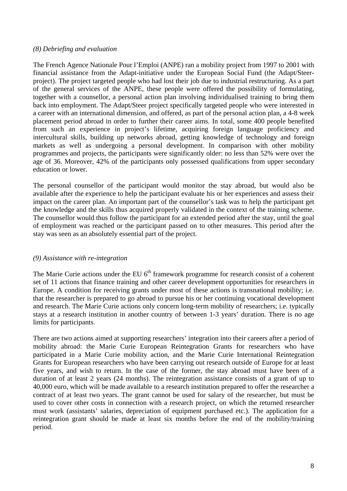#### *(8) Debriefing and evaluation*

The French Agence Nationale Pour l'Emploi (ANPE) ran a mobility project from 1997 to 2001 with financial assistance from the Adapt-initiative under the European Social Fund (the Adapt/Steerproject). The project targeted people who had lost their job due to industrial restructuring. As a part of the general services of the ANPE, these people were offered the possibility of formulating, together with a counsellor, a personal action plan involving individualised training to bring them back into employment. The Adapt/Steer project specifically targeted people who were interested in a career with an international dimension, and offered, as part of the personal action plan, a 4-8 week placement period abroad in order to further their career aims. In total, some 400 people benefited from such an experience in project's lifetime, acquiring foreign language proficiency and intercultural skills, building up networks abroad, getting knowledge of technology and foreign markets as well as undergoing a personal development. In comparison with other mobility programmes and projects, the participants were significantly older: no less than 52% were over the age of 36. Moreover, 42% of the participants only possessed qualifications from upper secondary education or lower.

The personal counsellor of the participant would monitor the stay abroad, but would also be available after the experience to help the participant evaluate his or her experiences and assess their impact on the career plan. An important part of the counsellor's task was to help the participant get the knowledge and the skills thus acquired properly validated in the context of the training scheme. The counsellor would thus follow the participant for an extended period after the stay, until the goal of employment was reached or the participant passed on to other measures. This period after the stay was seen as an absolutely essential part of the project.

#### *(9) Assistance with re-integration*

The Marie Curie actions under the EU  $6<sup>th</sup>$  framework programme for research consist of a coherent set of 11 actions that finance training and other career development opportunities for researchers in Europe. A condition for receiving grants under most of these actions is transnational mobility; i.e. that the researcher is prepared to go abroad to pursue his or her continuing vocational development and research. The Marie Curie actions only concern long-term mobility of researchers; i.e. typically stays at a research institution in another country of between 1-3 years' duration. There is no age limits for participants.

There are two actions aimed at supporting researchers' integration into their careers after a period of mobility abroad: the Marie Curie European Reintegration Grants for researchers who have participated in a Marie Curie mobility action, and the Marie Curie International Reintegration Grants for European researchers who have been carrying out research outside of Europe for at least five years, and wish to return. In the case of the former, the stay abroad must have been of a duration of at least 2 years (24 months). The reintegration assistance consists of a grant of up to 40,000 euro, which will be made available to a research institution prepared to offer the researcher a contract of at least two years. The grant cannot be used for salary of the researcher, but must be used to cover other costs in connection with a research project, on which the returned researcher must work (assistants' salaries, depreciation of equipment purchased etc.). The application for a reintegration grant should be made at least six months before the end of the mobility/training period.